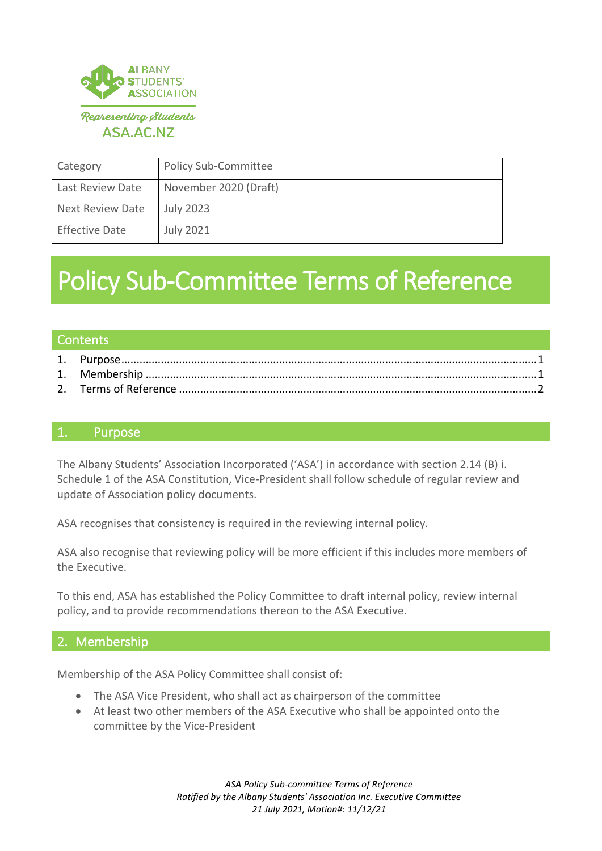

| Category                | <b>Policy Sub-Committee</b> |
|-------------------------|-----------------------------|
| Last Review Date        | November 2020 (Draft)       |
| <b>Next Review Date</b> | <b>July 2023</b>            |
| <b>Effective Date</b>   | <b>July 2021</b>            |

# Policy Sub-Committee Terms of Reference

#### **Contents**

2. Terms of Reference [......................................................................................................................2](#page-1-0)

#### <span id="page-0-0"></span>1. Purpose

The Albany Students' Association Incorporated ('ASA') in accordance with section 2.14 (B) i. Schedule 1 of the ASA Constitution, Vice-President shall follow schedule of regular review and update of Association policy documents.

ASA recognises that consistency is required in the reviewing internal policy.

ASA also recognise that reviewing policy will be more efficient if this includes more members of the Executive.

To this end, ASA has established the Policy Committee to draft internal policy, review internal policy, and to provide recommendations thereon to the ASA Executive.

## <span id="page-0-1"></span>2. Membership

Membership of the ASA Policy Committee shall consist of:

- The ASA Vice President, who shall act as chairperson of the committee
- At least two other members of the ASA Executive who shall be appointed onto the committee by the Vice-President

*ASA Policy Sub-committee Terms of Reference Ratified by the Albany Students' Association Inc. Executive Committee 21 July 2021, Motion#: 11/12/21*